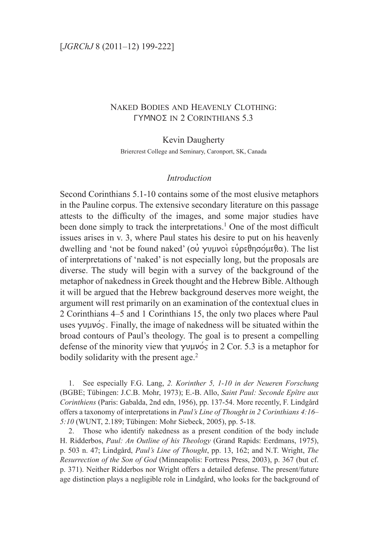## Naked Bodies and Heavenly Clothing:  $\Gamma$ YMNO $\Sigma$  in 2 Corinthians 5.3

### Kevin Daugherty

Briercrest College and Seminary, Caronport, SK, Canada

### *Introduction*

Second Corinthians 5.1-10 contains some of the most elusive metaphors in the Pauline corpus. The extensive secondary literature on this passage attests to the difficulty of the images, and some major studies have been done simply to track the interpretations.<sup>1</sup> One of the most difficult issues arises in v. 3, where Paul states his desire to put on his heavenly dwelling and 'not be found naked' (ou yuuvoi  $\epsilon\psi$ peθησόμεθα). The list of interpretations of 'naked' is not especially long, but the proposals are diverse. The study will begin with a survey of the background of the metaphor of nakedness in Greek thought and the Hebrew Bible. Although it will be argued that the Hebrew background deserves more weight, the argument will rest primarily on an examination of the contextual clues in 2 Corinthians 4–5 and 1 Corinthians 15, the only two places where Paul uses  $\gamma \nu \mu \nu \circ$ . Finally, the image of nakedness will be situated within the broad contours of Paul's theology. The goal is to present a compelling defense of the minority view that  $\gamma \nu \mu \nu \acute{\circ}$  in 2 Cor. 5.3 is a metaphor for bodily solidarity with the present age. $<sup>2</sup>$ </sup>

1. See especially F.G. Lang, *2. Korinther 5, 1-10 in der Neueren Forschung* (BGBE; Tübingen: J.C.B. Mohr, 1973); E.-B. Allo, *Saint Paul: Seconde Epître aux Corinthiens* (Paris: Gabalda, 2nd edn, 1956), pp. 137-54. More recently, F. Lindgård offers a taxonomy of interpretations in *Paul's Line of Thought in 2 Corinthians 4:16– 5:10* (WUNT, 2.189; Tübingen: Mohr Siebeck, 2005), pp. 5-18.

2. Those who identify nakedness as a present condition of the body include H. Ridderbos, *Paul: An Outline of his Theology* (Grand Rapids: Eerdmans, 1975), p. 503 n. 47; Lindgård, *Paul's Line of Thought*, pp. 13, 162; and N.T. Wright, *The Resurrection of the Son of God* (Minneapolis: Fortress Press, 2003), p. 367 (but cf. p. 371). Neither Ridderbos nor Wright offers a detailed defense. The present/future age distinction plays a negligible role in Lindgård, who looks for the background of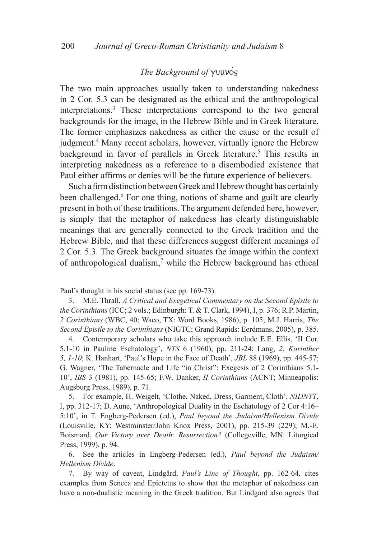# *The Background of Youvos*

The two main approaches usually taken to understanding nakedness in 2 Cor. 5.3 can be designated as the ethical and the anthropological interpretations.3 These interpretations correspond to the two general backgrounds for the image, in the Hebrew Bible and in Greek literature. The former emphasizes nakedness as either the cause or the result of judgment.<sup>4</sup> Many recent scholars, however, virtually ignore the Hebrew background in favor of parallels in Greek literature.<sup>5</sup> This results in interpreting nakedness as a reference to a disembodied existence that Paul either affirms or denies will be the future experience of believers.

Such a firm distinction between Greek and Hebrew thought has certainly been challenged.<sup>6</sup> For one thing, notions of shame and guilt are clearly present in both of these traditions. The argument defended here, however, is simply that the metaphor of nakedness has clearly distinguishable meanings that are generally connected to the Greek tradition and the Hebrew Bible, and that these differences suggest different meanings of 2 Cor. 5.3. The Greek background situates the image within the context of anthropological dualism, $<sup>7</sup>$  while the Hebrew background has ethical</sup>

Paul's thought in his social status (see pp. 169-73).

3. M.E. Thrall, *A Critical and Exegetical Commentary on the Second Epistle to the Corinthians* (ICC; 2 vols.; Edinburgh: T. & T. Clark, 1994), I, p. 376; R.P. Martin, *2 Corinthians* (WBC, 40; Waco, TX: Word Books, 1986), p. 105; M.J. Harris, *The Second Epistle to the Corinthians* (NIGTC; Grand Rapids: Eerdmans, 2005), p. 385.

4. Contemporary scholars who take this approach include E.E. Ellis, 'II Cor. 5.1-10 in Pauline Eschatology', *NTS* 6 (1960), pp. 211-24; Lang, *2. Korinther 5, 1-10*; K. Hanhart, 'Paul's Hope in the Face of Death', *JBL* 88 (1969), pp. 445-57; G. Wagner, 'The Tabernacle and Life "in Christ": Exegesis of 2 Corinthians 5.1- 10', *IBS* 3 (1981), pp. 145-65; F.W. Danker, *II Corinthians* (ACNT; Minneapolis: Augsburg Press, 1989), p. 71.

5. For example, H. Weigelt, 'Clothe, Naked, Dress, Garment, Cloth', *NIDNTT*, I, pp. 312-17; D. Aune, 'Anthropological Duality in the Eschatology of 2 Cor 4:16– 5:10', in T. Engberg-Pedersen (ed.), *Paul beyond the Judaism/Hellenism Divide* (Louisville, KY: Westminster/John Knox Press, 2001), pp. 215-39 (229); M.-E. Boismard, *Our Victory over Death: Resurrection?* (Collegeville, MN: Liturgical Press, 1999), p. 94.

6. See the articles in Engberg-Pedersen (ed.), *Paul beyond the Judaism/ Hellenism Divide*.

7. By way of caveat, Lindgård, *Paul's Line of Thought*, pp. 162-64, cites examples from Seneca and Epictetus to show that the metaphor of nakedness can have a non-dualistic meaning in the Greek tradition. But Lindgård also agrees that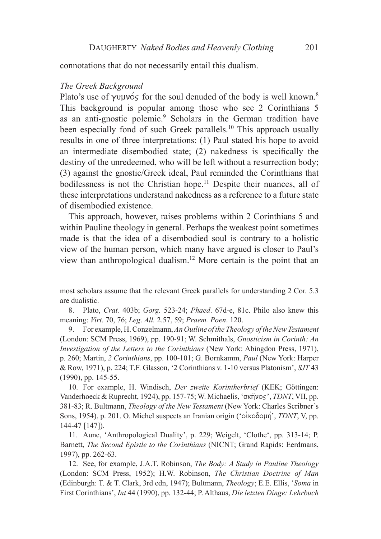connotations that do not necessarily entail this dualism.

#### *The Greek Background*

Plato's use of  $\gamma$ <sup>y</sup>  $\gamma$  for the soul denuded of the body is well known.<sup>8</sup> This background is popular among those who see 2 Corinthians 5 as an anti-gnostic polemic.<sup>9</sup> Scholars in the German tradition have been especially fond of such Greek parallels.<sup>10</sup> This approach usually results in one of three interpretations: (1) Paul stated his hope to avoid an intermediate disembodied state; (2) nakedness is specifically the destiny of the unredeemed, who will be left without a resurrection body; (3) against the gnostic/Greek ideal, Paul reminded the Corinthians that bodilessness is not the Christian hope.<sup>11</sup> Despite their nuances, all of these interpretations understand nakedness as a reference to a future state of disembodied existence.

This approach, however, raises problems within 2 Corinthians 5 and within Pauline theology in general. Perhaps the weakest point sometimes made is that the idea of a disembodied soul is contrary to a holistic view of the human person, which many have argued is closer to Paul's view than anthropological dualism.12 More certain is the point that an

most scholars assume that the relevant Greek parallels for understanding 2 Cor. 5.3 are dualistic.

8. Plato, *Crat.* 403b; *Gorg.* 523-24; *Phaed*. 67d-e, 81c. Philo also knew this meaning: *Virt*. 70, 76; *Leg*. *All.* 2.57, 59; *Praem. Poen*. 120.

9. For example, H. Conzelmann, *An Outline of the Theology of the New Testament* (London: SCM Press, 1969), pp. 190-91; W. Schmithals, *Gnosticism in Corinth: An Investigation of the Letters to the Corinthians* (New York: Abingdon Press, 1971), p. 260; Martin, *2 Corinthians*, pp. 100-101; G. Bornkamm, *Paul* (New York: Harper & Row, 1971), p. 224; T.F. Glasson, '2 Corinthians v. 1-10 versus Platonism', *SJT* 43 (1990), pp. 145-55.

10. For example, H. Windisch, *Der zweite Korintherbrief* (KEK; Göttingen: Vanderhoeck & Ruprecht, 1924), pp. 157-75; W. Michaelis, ' $\sigma \kappa \hat{\eta} \nu \sigma s$ ', *TDNT*, VII, pp. 381-83; R. Bultmann, *Theology of the New Testament* (New York: Charles Scribner's Sons, 1954), p. 201. O. Michel suspects an Iranian origin ('οικοδομή', *TDNT*, V, pp. 144-47 [147]).

11. Aune, 'Anthropological Duality', p. 229; Weigelt, 'Clothe', pp. 313-14; P. Barnett, *The Second Epistle to the Corinthians* (NICNT; Grand Rapids: Eerdmans, 1997), pp. 262-63.

12. See, for example, J.A.T. Robinson, *The Body: A Study in Pauline Theology* (London: SCM Press, 1952); H.W. Robinson, *The Christian Doctrine of Man* (Edinburgh: T. & T. Clark, 3rd edn, 1947); Bultmann, *Theology*; E.E. Ellis, '*Soma* in First Corinthians', *Int* 44 (1990), pp. 132-44; P. Althaus, *Die letzten Dinge: Lehrbuch*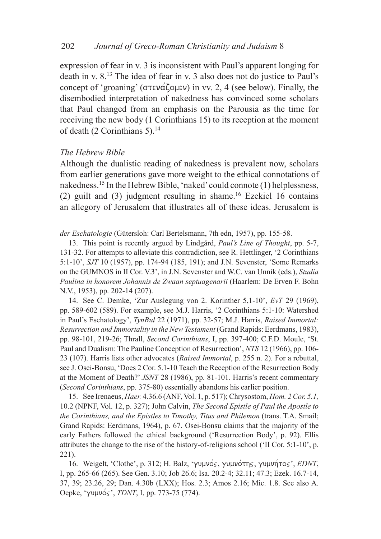expression of fear in v. 3 is inconsistent with Paul's apparent longing for death in v. 8.13 The idea of fear in v. 3 also does not do justice to Paul's concept of 'groaning' ( $\sigma \tau \in \alpha$ ') in vv. 2, 4 (see below). Finally, the disembodied interpretation of nakedness has convinced some scholars that Paul changed from an emphasis on the Parousia as the time for receiving the new body (1 Corinthians 15) to its reception at the moment of death (2 Corinthians 5). $14$ 

### *The Hebrew Bible*

Although the dualistic reading of nakedness is prevalent now, scholars from earlier generations gave more weight to the ethical connotations of nakedness.15 In the Hebrew Bible, 'naked' could connote (1) helplessness, (2) guilt and (3) judgment resulting in shame.<sup>16</sup> Ezekiel 16 contains an allegory of Jerusalem that illustrates all of these ideas. Jerusalem is

*der Eschatologie* (Gütersloh: Carl Bertelsmann, 7th edn, 1957), pp. 155-58.

13. This point is recently argued by Lindgård, *Paul's Line of Thought*, pp. 5-7, 131-32. For attempts to alleviate this contradiction, see R. Hettlinger, '2 Corinthians 5:1-10', *SJT* 10 (1957), pp. 174-94 (185, 191); and J.N. Sevenster, 'Some Remarks on the GUMNOS in II Cor. V.3', in J.N. Sevenster and W.C. van Unnik (eds.), *Studia Paulina in honorem Johannis de Zwaan septuagenarii* (Haarlem: De Erven F. Bohn N.V., 1953), pp. 202-14 (207).

14. See C. Demke, 'Zur Auslegung von 2. Korinther 5,1-10', *EvT* 29 (1969), pp. 589-602 (589). For example, see M.J. Harris, '2 Corinthians 5:1-10: Watershed in Paul's Eschatology', *TynBul* 22 (1971), pp. 32-57; M.J. Harris, *Raised Immortal: Resurrection and Immortality in the New Testament* (Grand Rapids: Eerdmans, 1983), pp. 98-101, 219-26; Thrall, *Second Corinthians*, I, pp. 397-400; C.F.D. Moule, 'St. Paul and Dualism: The Pauline Conception of Resurrection', *NTS* 12 (1966), pp. 106- 23 (107). Harris lists other advocates (*Raised Immortal*, p. 255 n. 2). For a rebuttal, see J. Osei-Bonsu, 'Does 2 Cor. 5.1-10 Teach the Reception of the Resurrection Body at the Moment of Death?' *JSNT* 28 (1986), pp. 81-101. Harris's recent commentary (*Second Corinthians*, pp. 375-80) essentially abandons his earlier position.

15. See Irenaeus, *Haer.* 4.36.6 (ANF, Vol. 1, p. 517); Chrysostom, *Hom. 2 Cor. 5.1,* 10.2 (NPNF, Vol. 12, p. 327); John Calvin, *The Second Epistle of Paul the Apostle to the Corinthians, and the Epistles to Timothy, Titus and Philemon (trans. T.A. Smail;* Grand Rapids: Eerdmans, 1964), p. 67. Osei-Bonsu claims that the majority of the early Fathers followed the ethical background ('Resurrection Body', p. 92). Ellis attributes the change to the rise of the history-of-religions school ('II Cor. 5:1-10', p. 221).

16. Weigelt, 'Clothe', p. 312; Η. Balz, 'γυμνός, γυμνότης, γυμνήτος', *EDNT*, I, pp. 265-66 (265). See Gen. 3.10; Job 26.6; Isa. 20.2-4; 32.11; 47.3; Ezek. 16.7-14, 37, 39; 23.26, 29; Dan. 4.30b (LXX); Hos. 2.3; Amos 2.16; Mic. 1.8. See also A. Oepke, 'γυμνός', *TDNT*, I, pp. 773-75 (774).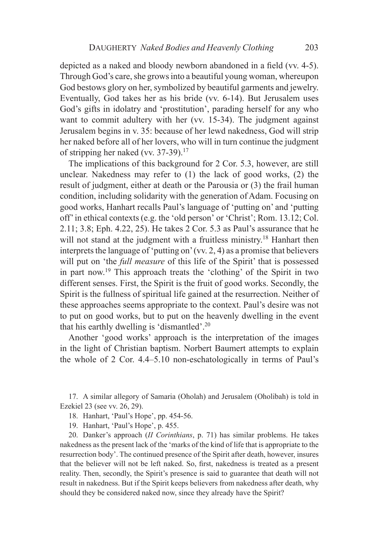depicted as a naked and bloody newborn abandoned in a field (vv. 4-5). Through God's care, she grows into a beautiful young woman, whereupon God bestows glory on her, symbolized by beautiful garments and jewelry. Eventually, God takes her as his bride (vv. 6-14). But Jerusalem uses God's gifts in idolatry and 'prostitution', parading herself for any who want to commit adultery with her (vv. 15-34). The judgment against Jerusalem begins in v. 35: because of her lewd nakedness, God will strip her naked before all of her lovers, who will in turn continue the judgment of stripping her naked (vv.  $37-39$ ).<sup>17</sup>

The implications of this background for 2 Cor. 5.3, however, are still unclear. Nakedness may refer to (1) the lack of good works, (2) the result of judgment, either at death or the Parousia or (3) the frail human condition, including solidarity with the generation of Adam. Focusing on good works, Hanhart recalls Paul's language of 'putting on' and 'putting off' in ethical contexts (e.g. the 'old person' or 'Christ'; Rom. 13.12; Col. 2.11; 3.8; Eph. 4.22, 25). He takes 2 Cor. 5.3 as Paul's assurance that he will not stand at the judgment with a fruitless ministry.<sup>18</sup> Hanhart then interprets the language of 'putting on' (vv. 2, 4) as a promise that believers will put on 'the *full measure* of this life of the Spirit' that is possessed in part now.19 This approach treats the 'clothing' of the Spirit in two different senses. First, the Spirit is the fruit of good works. Secondly, the Spirit is the fullness of spiritual life gained at the resurrection. Neither of these approaches seems appropriate to the context. Paul's desire was not to put on good works, but to put on the heavenly dwelling in the event that his earthly dwelling is 'dismantled'.20

Another 'good works' approach is the interpretation of the images in the light of Christian baptism. Norbert Baumert attempts to explain the whole of 2 Cor. 4.4–5.10 non-eschatologically in terms of Paul's

17. A similar allegory of Samaria (Oholah) and Jerusalem (Oholibah) is told in Ezekiel 23 (see vv. 26, 29).

18. Hanhart, 'Paul's Hope', pp. 454-56.

19. Hanhart, 'Paul's Hope', p. 455.

20. Danker's approach (*II Corinthians*, p. 71) has similar problems. He takes nakedness as the present lack of the 'marks of the kind of life that is appropriate to the resurrection body'. The continued presence of the Spirit after death, however, insures that the believer will not be left naked. So, first, nakedness is treated as a present reality. Then, secondly, the Spirit's presence is said to guarantee that death will not result in nakedness. But if the Spirit keeps believers from nakedness after death, why should they be considered naked now, since they already have the Spirit?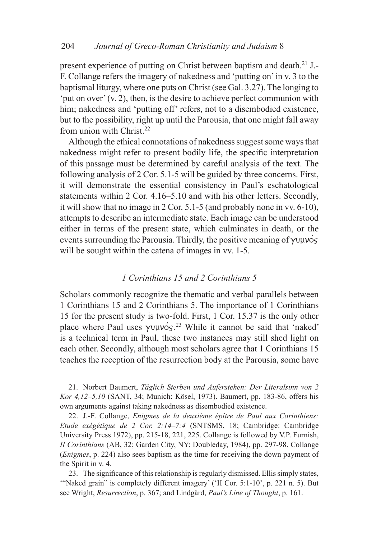present experience of putting on Christ between baptism and death.<sup>21</sup> J.-F. Collange refers the imagery of nakedness and 'putting on' in v. 3 to the baptismal liturgy, where one puts on Christ (see Gal. 3.27). The longing to 'put on over' (v. 2), then, is the desire to achieve perfect communion with him; nakedness and 'putting off' refers, not to a disembodied existence, but to the possibility, right up until the Parousia, that one might fall away from union with Christ. $22$ 

Although the ethical connotations of nakedness suggest some ways that nakedness might refer to present bodily life, the specific interpretation of this passage must be determined by careful analysis of the text. The following analysis of 2 Cor. 5.1-5 will be guided by three concerns. First, it will demonstrate the essential consistency in Paul's eschatological statements within 2 Cor. 4.16–5.10 and with his other letters. Secondly, it will show that no image in 2 Cor. 5.1-5 (and probably none in vv. 6-10), attempts to describe an intermediate state. Each image can be understood either in terms of the present state, which culminates in death, or the events surrounding the Parousia. Thirdly, the positive meaning of  $\gamma$ u $\gamma$ will be sought within the catena of images in vv. 1-5.

### *1 Corinthians 15 and 2 Corinthians 5*

Scholars commonly recognize the thematic and verbal parallels between 1 Corinthians 15 and 2 Corinthians 5. The importance of 1 Corinthians 15 for the present study is two-fold. First, 1 Cor. 15.37 is the only other place where Paul uses  $\gamma$ uµvo $\zeta$ <sup>23</sup> While it cannot be said that 'naked' is a technical term in Paul, these two instances may still shed light on each other. Secondly, although most scholars agree that 1 Corinthians 15 teaches the reception of the resurrection body at the Parousia, some have

21. Norbert Baumert, *Täglich Sterben und Auferstehen: Der Literalsinn von 2 Kor 4,12–5,10* (SANT, 34; Munich: Kösel, 1973). Baumert, pp. 183-86, offers his own arguments against taking nakedness as disembodied existence.

22. J.-F. Collange, *Enigmes de la deuxième épître de Paul aux Corinthiens: Etude exégétique de 2 Cor. 2:14–7:4* (SNTSMS, 18; Cambridge: Cambridge University Press 1972), pp. 215-18, 221, 225. Collange is followed by V.P. Furnish, *II Corinthians* (AB, 32; Garden City, NY: Doubleday, 1984), pp. 297-98. Collange (*Enigmes*, p. 224) also sees baptism as the time for receiving the down payment of the Spirit in v. 4.

23. The significance of this relationship is regularly dismissed. Ellis simply states, '"Naked grain" is completely different imagery' ('II Cor. 5:1-10', p. 221 n. 5). But see Wright, *Resurrection*, p. 367; and Lindgård, *Paul's Line of Thought*, p. 161.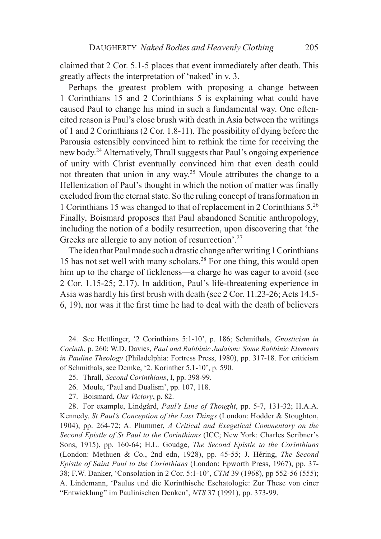claimed that 2 Cor. 5.1-5 places that event immediately after death. This greatly affects the interpretation of 'naked' in v. 3.

Perhaps the greatest problem with proposing a change between 1 Corinthians 15 and 2 Corinthians 5 is explaining what could have caused Paul to change his mind in such a fundamental way. One oftencited reason is Paul's close brush with death in Asia between the writings of 1 and 2 Corinthians (2 Cor. 1.8-11). The possibility of dying before the Parousia ostensibly convinced him to rethink the time for receiving the new body.24 Alternatively, Thrall suggests that Paul's ongoing experience of unity with Christ eventually convinced him that even death could not threaten that union in any way.25 Moule attributes the change to a Hellenization of Paul's thought in which the notion of matter was finally excluded from the eternal state. So the ruling concept of transformation in 1 Corinthians 15 was changed to that of replacement in 2 Corinthians 5.26 Finally, Boismard proposes that Paul abandoned Semitic anthropology, including the notion of a bodily resurrection, upon discovering that 'the Greeks are allergic to any notion of resurrection<sup>'.27</sup>

The idea that Paul made such a drastic change after writing 1 Corinthians 15 has not set well with many scholars.28 For one thing, this would open him up to the charge of fickleness—a charge he was eager to avoid (see 2 Cor. 1.15-25; 2.17). In addition, Paul's life-threatening experience in Asia was hardly his first brush with death (see 2 Cor. 11.23-26; Acts 14.5- 6, 19), nor was it the first time he had to deal with the death of believers

24. See Hettlinger, '2 Corinthians 5:1-10', p. 186; Schmithals, *Gnosticism in Corinth*, p. 260; W.D. Davies, *Paul and Rabbinic Judaism: Some Rabbinic Elements in Pauline Theology* (Philadelphia: Fortress Press, 1980), pp. 317-18. For criticism of Schmithals, see Demke, '2. Korinther 5,1-10', p. 590.

- 25. Thrall, *Second Corinthians*, I, pp. 398-99.
- 26. Moule, 'Paul and Dualism', pp. 107, 118.
- 27. Boismard, *Our Victory*, p. 82.

28. For example, Lindgård, *Paul's Line of Thought*, pp. 5-7, 131-32; H.A.A. Kennedy, *St Paul's Conception of the Last Things* (London: Hodder & Stoughton, 1904), pp. 264-72; A. Plummer, *A Critical and Exegetical Commentary on the Second Epistle of St Paul to the Corinthians* (ICC; New York: Charles Scribner's Sons, 1915), pp. 160-64; H.L. Goudge, *The Second Epistle to the Corinthians* (London: Methuen & Co., 2nd edn, 1928), pp. 45-55; J. Héring, *The Second Epistle of Saint Paul to the Corinthians* (London: Epworth Press, 1967), pp. 37- 38; F.W. Danker, 'Consolation in 2 Cor. 5:1-10', *CTM* 39 (1968), pp 552-56 (555); A. Lindemann, 'Paulus und die Korinthische Eschatologie: Zur These von einer "Entwicklung" im Paulinischen Denken', *NTS* 37 (1991), pp. 373-99.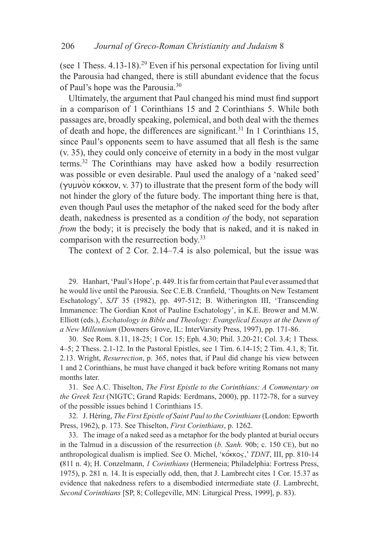(see 1 Thess.  $4.13$ -18).<sup>29</sup> Even if his personal expectation for living until the Parousia had changed, there is still abundant evidence that the focus of Paul's hope was the Parousia.30

Ultimately, the argument that Paul changed his mind must find support in a comparison of 1 Corinthians 15 and 2 Corinthians 5. While both passages are, broadly speaking, polemical, and both deal with the themes of death and hope, the differences are significant.<sup>31</sup> In 1 Corinthians 15, since Paul's opponents seem to have assumed that all flesh is the same (v. 35), they could only conceive of eternity in a body in the most vulgar terms.32 The Corinthians may have asked how a bodily resurrection was possible or even desirable. Paul used the analogy of a 'naked seed' ( $\gamma$ UUU) kort kow, v. 37) to illustrate that the present form of the body will not hinder the glory of the future body. The important thing here is that, even though Paul uses the metaphor of the naked seed for the body after death, nakedness is presented as a condition *of* the body, not separation *from* the body; it is precisely the body that is naked, and it is naked in comparison with the resurrection body.33

The context of 2 Cor. 2.14–7.4 is also polemical, but the issue was

29. Hanhart, 'Paul's Hope', p. 449. It is far from certain that Paul ever assumed that he would live until the Parousia. See C.E.B. Cranfield, 'Thoughts on New Testament Eschatology', *SJT* 35 (1982), pp. 497-512; B. Witherington III, 'Transcending Immanence: The Gordian Knot of Pauline Eschatology', in K.E. Brower and M.W. Elliott (eds.), *Eschatology in Bible and Theology: Evangelical Essays at the Dawn of a New Millennium* (Downers Grove, IL: InterVarsity Press, 1997), pp. 171-86.

30. See Rom. 8.11, 18-25; 1 Cor. 15; Eph. 4.30; Phil. 3.20-21; Col. 3.4; 1 Thess. 4–5; 2 Thess. 2.1-12. In the Pastoral Epistles, see 1 Tim. 6.14-15; 2 Tim. 4.1, 8; Tit. 2.13. Wright, *Resurrection*, p. 365, notes that, if Paul did change his view between 1 and 2 Corinthians, he must have changed it back before writing Romans not many months later.

31. See A.C. Thiselton, *The First Epistle to the Corinthians: A Commentary on the Greek Text* (NIGTC; Grand Rapids: Eerdmans, 2000), pp. 1172-78, for a survey of the possible issues behind 1 Corinthians 15.

32. J. Héring, *The First Epistle of Saint Paul to the Corinthians* (London: Epworth Press, 1962), p. 173. See Thiselton, *First Corinthians*, p. 1262.

33. The image of a naked seed as a metaphor for the body planted at burial occurs in the Talmud in a discussion of the resurrection (*b. Sanh.* 90b; c. 150 ce), but no anthropological dualism is implied. See O. Michel, 'κόκκος,' *TDNT*, III, pp. 810-14 **(**811 n. 4); H. Conzelmann, *1 Corinthians* (Hermeneia; Philadelphia: Fortress Press, 1975), p. 281 n. 14. It is especially odd, then, that J. Lambrecht cites 1 Cor. 15.37 as evidence that nakedness refers to a disembodied intermediate state (J. Lambrecht, *Second Corinthians* [SP, 8; Collegeville, MN: Liturgical Press, 1999], p. 83).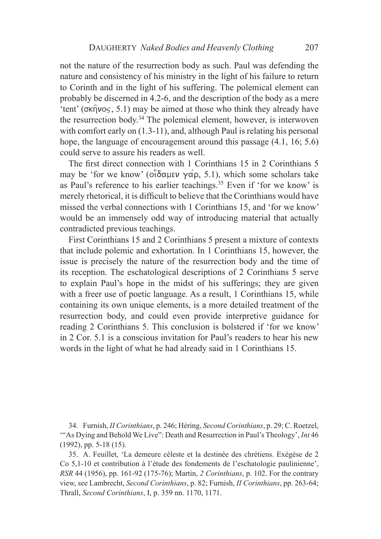not the nature of the resurrection body as such. Paul was defending the nature and consistency of his ministry in the light of his failure to return to Corinth and in the light of his suffering. The polemical element can probably be discerned in 4.2-6, and the description of the body as a mere 'tent' ( $\sigma \kappa$ n $\nu$ os, 5.1) may be aimed at those who think they already have the resurrection body.34 The polemical element, however, is interwoven with comfort early on  $(1.3-11)$ , and, although Paul is relating his personal hope, the language of encouragement around this passage (4.1, 16; 5.6) could serve to assure his readers as well.

The first direct connection with 1 Corinthians 15 in 2 Corinthians 5 may be 'for we know' ( $o\ddot{\delta}$ αμεν γάρ, 5.1), which some scholars take as Paul's reference to his earlier teachings.<sup>35</sup> Even if 'for we know' is merely rhetorical, it is difficult to believe that the Corinthians would have missed the verbal connections with 1 Corinthians 15, and 'for we know' would be an immensely odd way of introducing material that actually contradicted previous teachings.

First Corinthians 15 and 2 Corinthians 5 present a mixture of contexts that include polemic and exhortation. In 1 Corinthians 15, however, the issue is precisely the nature of the resurrection body and the time of its reception. The eschatological descriptions of 2 Corinthians 5 serve to explain Paul's hope in the midst of his sufferings; they are given with a freer use of poetic language. As a result, 1 Corinthians 15, while containing its own unique elements, is a more detailed treatment of the resurrection body, and could even provide interpretive guidance for reading 2 Corinthians 5. This conclusion is bolstered if 'for we know' in 2 Cor. 5.1 is a conscious invitation for Paul's readers to hear his new words in the light of what he had already said in 1 Corinthians 15.

<sup>34.</sup> Furnish, *II Corinthians*, p. 246; Héring, *Second Corinthians*, p. 29; C. Roetzel, '"As Dying and Behold We Live": Death and Resurrection in Paul's Theology', *Int* 46 (1992), pp. 5-18 (15).

<sup>35.</sup> A. Feuillet, 'La demeure céleste et la destinée des chrétiens. Exégèse de 2 Co 5,1-10 et contribution à l'étude des fondements de l'eschatologie paulinienne', *RSR* 44 (1956), pp. 161-92 (175-76); Martin, *2 Corinthians*, p. 102. For the contrary view, see Lambrecht, *Second Corinthians*, p. 82; Furnish, *II Corinthians*, pp. 263-64; Thrall, *Second Corinthians*, I, p. 359 nn. 1170, 1171.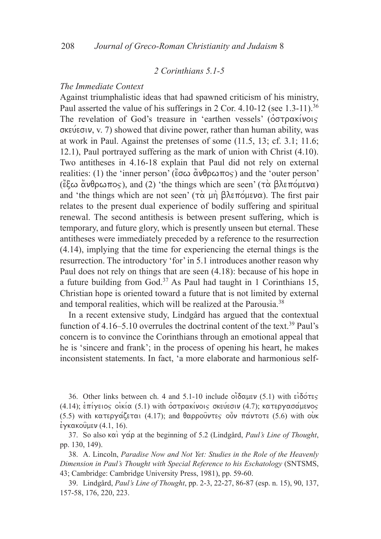### *2 Corinthians 5.1-5*

### *The Immediate Context*

Against triumphalistic ideas that had spawned criticism of his ministry, Paul asserted the value of his sufferings in 2 Cor. 4.10-12 (see  $1.3$ -11).<sup>36</sup> The revelation of God's treasure in 'earthen vessels' ( $\acute{o}$  $\sigma$  $\tau$  $\rho$  $\alpha$  $\acute{\kappa}$  $\gamma$  $\alpha$  $\varsigma$  $\sigma$ KEUE $\sigma$ IV, V. 7) showed that divine power, rather than human ability, was at work in Paul. Against the pretenses of some (11.5, 13; cf. 3.1; 11.6; 12.1), Paul portrayed suffering as the mark of union with Christ (4.10). Two antitheses in 4.16-18 explain that Paul did not rely on external realities: (1) the 'inner person' ( $\zeta \in \alpha$   $\alpha \vee \beta \in \beta$ ) and the 'outer person' ( $\epsilon$ ξω ανθρωπος), and (2) 'the things which are seen' (τα βλεπόμενα) and 'the things which are not seen'  $(\tau \alpha \mu \eta)$   $\beta \lambda \epsilon \pi \phi \mu \epsilon \nu \alpha)$ . The first pair relates to the present dual experience of bodily suffering and spiritual renewal. The second antithesis is between present suffering, which is temporary, and future glory, which is presently unseen but eternal. These antitheses were immediately preceded by a reference to the resurrection (4.14), implying that the time for experiencing the eternal things is the resurrection. The introductory 'for' in 5.1 introduces another reason why Paul does not rely on things that are seen (4.18): because of his hope in a future building from God.<sup>37</sup> As Paul had taught in 1 Corinthians 15, Christian hope is oriented toward a future that is not limited by external and temporal realities, which will be realized at the Parousia.38

In a recent extensive study, Lindgård has argued that the contextual function of 4.16–5.10 overrules the doctrinal content of the text.<sup>39</sup> Paul's concern is to convince the Corinthians through an emotional appeal that he is 'sincere and frank'; in the process of opening his heart, he makes inconsistent statements. In fact, 'a more elaborate and harmonious self-

36. Other links between ch. 4 and  $5.1\n-10$  include  $\overrightarrow{\text{o}}$   $\delta$   $\alpha$ uev (5.1) with  $\epsilon$  $\delta$  $\acute{\text{o}}$  $\tau$ es  $(4.14)$ ; επίγειος οικία (5.1) with οστρακίνοις σκεύεσιν (4.7); κατεργασάμενος (5.5) with κατεργάζεται (4.17); and θαρρούντες ούν πάντοτε (5.6) with ouk  $\epsilon$ γκακούμεν (4.1, 16).

37. So also  $\kappa \alpha$   $\gamma \alpha \rho$  at the beginning of 5.2 (Lindgård, *Paul's Line of Thought*, pp. 130, 149).

38. A. Lincoln, *Paradise Now and Not Yet: Studies in the Role of the Heavenly Dimension in Paul's Thought with Special Reference to his Eschatology* (SNTSMS, 43; Cambridge: Cambridge University Press, 1981), pp. 59-60.

39. Lindgård, *Paul's Line of Thought*, pp. 2-3, 22-27, 86-87 (esp. n. 15), 90, 137, 157-58, 176, 220, 223.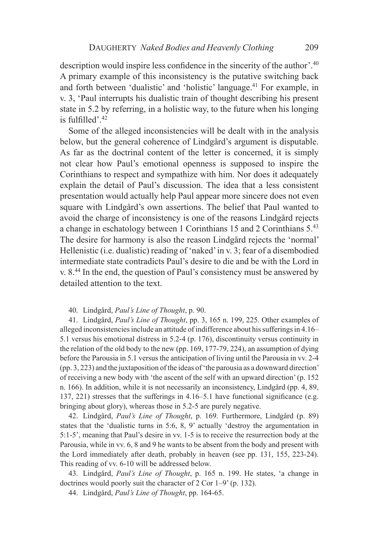description would inspire less confidence in the sincerity of the author'.<sup>40</sup> A primary example of this inconsistency is the putative switching back and forth between 'dualistic' and 'holistic' language.<sup>41</sup> For example, in v. 3, 'Paul interrupts his dualistic train of thought describing his present state in 5.2 by referring, in a holistic way, to the future when his longing is fulfilled'.<sup>42</sup>

Some of the alleged inconsistencies will be dealt with in the analysis below, but the general coherence of Lindgård's argument is disputable. As far as the doctrinal content of the letter is concerned, it is simply not clear how Paul's emotional openness is supposed to inspire the Corinthians to respect and sympathize with him. Nor does it adequately explain the detail of Paul's discussion. The idea that a less consistent presentation would actually help Paul appear more sincere does not even square with Lindgård's own assertions. The belief that Paul wanted to avoid the charge of inconsistency is one of the reasons Lindgård rejects a change in eschatology between 1 Corinthians 15 and 2 Corinthians 5.43 The desire for harmony is also the reason Lindgård rejects the 'normal' Hellenistic (i.e. dualistic) reading of 'naked' in v. 3; fear of a disembodied intermediate state contradicts Paul's desire to die and be with the Lord in v. 8.44 In the end, the question of Paul's consistency must be answered by detailed attention to the text.

#### 40. Lindgård, *Paul's Line of Thought*, p. 90.

41. Lindgård, *Paul's Line of Thought*, pp. 3, 165 n. 199, 225. Other examples of alleged inconsistencies include an attitude of indifference about his sufferings in 4.16– 5.1 versus his emotional distress in 5.2-4 (p. 176), discontinuity versus continuity in the relation of the old body to the new (pp. 169, 177-79, 224), an assumption of dying before the Parousia in 5.1 versus the anticipation of living until the Parousia in vv. 2-4 (pp. 3, 223) and the juxtaposition of the ideas of 'the parousia as a downward direction' of receiving a new body with 'the ascent of the self with an upward direction' (p. 152 n. 166). In addition, while it is not necessarily an inconsistency, Lindgård (pp. 4, 89, 137, 221) stresses that the sufferings in 4.16–5.1 have functional significance (e.g. bringing about glory), whereas those in 5.2-5 are purely negative.

42. Lindgård, *Paul's Line of Thought*, p. 169. Furthermore, Lindgård (p. 89) states that the 'dualistic turns in 5:6, 8, 9' actually 'destroy the argumentation in 5:1-5', meaning that Paul's desire in vv. 1-5 is to receive the resurrection body at the Parousia, while in vv. 6, 8 and 9 he wants to be absent from the body and present with the Lord immediately after death, probably in heaven (see pp. 131, 155, 223-24). This reading of vv. 6-10 will be addressed below.

43. Lindgård, *Paul's Line of Thought*, p. 165 n. 199. He states, 'a change in doctrines would poorly suit the character of 2 Cor 1–9' (p. 132).

44. Lindgård, *Paul's Line of Thought*, pp. 164-65.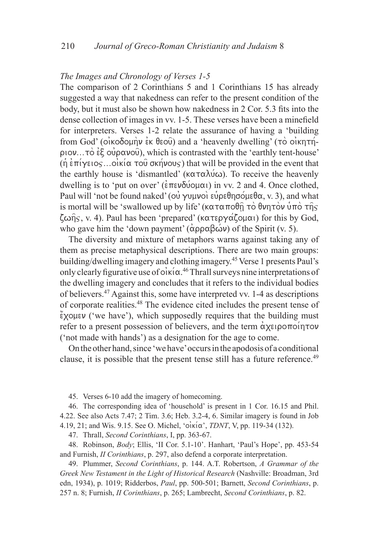### *The Images and Chronology of Verses 1-5*

The comparison of 2 Corinthians 5 and 1 Corinthians 15 has already suggested a way that nakedness can refer to the present condition of the body, but it must also be shown how nakedness in 2 Cor. 5.3 fits into the dense collection of images in vv. 1-5. These verses have been a minefield for interpreters. Verses 1-2 relate the assurance of having a 'building from God' ( $\overrightarrow{\text{oko}}$ Colin) ex  $\theta$  and a 'heavenly dwelling' ( $\overrightarrow{\text{ro}}$  oikhth- $\rho$ iov...to  $\epsilon \xi$  ou $\rho \alpha$ vou), which is contrasted with the 'earthly tent-house'  $(\eta \epsilon \pi)$   $\gamma$  ends...oik $(\alpha \tau)$  or  $(\eta \nu)$  that will be provided in the event that the earthly house is 'dismantled' ( $\kappa \alpha \tau \alpha \lambda \psi \omega$ ). To receive the heavenly dwelling is to 'put on over' ( $\epsilon \pi \epsilon \nu \delta \omega \omega \alpha$ ) in vv. 2 and 4. Once clothed, Paul will 'not be found naked' (ou  $\gamma$ uµvoi ευρεθησόμεθα, v. 3), and what is mortal will be 'swallowed up by life' ( $\kappa \alpha \tau \alpha \pi \partial \hat{\theta} \hat{\eta} \tau \partial \theta \nu \eta \tau \partial \nu \hat{\upsilon} \pi \partial \tau \hat{\eta} \varsigma$  $\zeta\omega\hat{\eta}_S$ , v. 4). Paul has been 'prepared' (κατεργάζομαι) for this by God, who gave him the 'down payment'  $(\alpha \rho \rho \alpha \beta \omega \nu)$  of the Spirit (v. 5).

The diversity and mixture of metaphors warns against taking any of them as precise metaphysical descriptions. There are two main groups: building/dwelling imagery and clothing imagery.45 Verse 1 presents Paul's only clearly figurative use of  $\vec{o}$  iki $\alpha$ .<sup>46</sup> Thrall surveys nine interpretations of the dwelling imagery and concludes that it refers to the individual bodies of believers.47 Against this, some have interpreted vv. 1-4 as descriptions of corporate realities.48 The evidence cited includes the present tense of  $\chi$ <sup>2</sup> ('we have'), which supposedly requires that the building must refer to a present possession of believers, and the term  $\alpha \chi \epsilon \rho$ ('not made with hands') as a designation for the age to come.

On the other hand, since 'we have' occurs in the apodosis of a conditional clause, it is possible that the present tense still has a future reference.<sup>49</sup>

45. Verses 6-10 add the imagery of homecoming.

46. The corresponding idea of 'household' is present in 1 Cor. 16.15 and Phil. 4.22. See also Acts 7.47; 2 Tim. 3.6; Heb. 3.2-4, 6. Similar imagery is found in Job 4.19, 21; and Wis. 9.15. See O. Michel, 'οἰκία', *TDNT*, V, pp. 119-34 (132).

47. Thrall, *Second Corinthians*, I, pp. 363-67.

48. Robinson, *Body*; Ellis, 'II Cor. 5.1-10'. Hanhart, 'Paul's Hope', pp. 453-54 and Furnish, *II Corinthians*, p. 297, also defend a corporate interpretation.

49. Plummer, *Second Corinthians*, p. 144. A.T. Robertson, *A Grammar of the Greek New Testament in the Light of Historical Research* (Nashville: Broadman, 3rd edn, 1934), p. 1019; Ridderbos, *Paul*, pp. 500-501; Barnett, *Second Corinthians*, p. 257 n. 8; Furnish, *II Corinthians*, p. 265; Lambrecht, *Second Corinthians*, p. 82.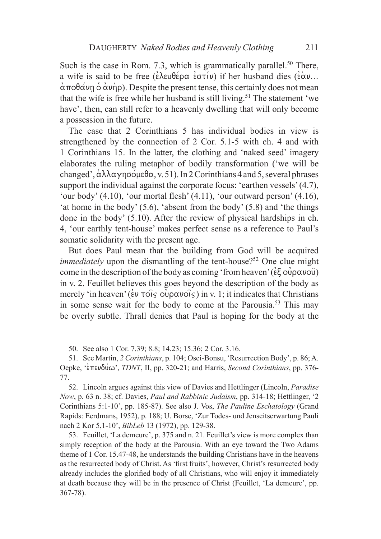Such is the case in Rom. 7.3, which is grammatically parallel.<sup>50</sup> There, a wife is said to be free ( $\epsilon \lambda \epsilon \theta \epsilon \rho \alpha \epsilon \sigma \tau(\nu)$ ) if her husband dies ( $\epsilon \alpha \nu$ ...  $\dot{\alpha}$ ποθάνη  $\dot{\delta}$  άνήρ). Despite the present tense, this certainly does not mean that the wife is free while her husband is still living.<sup>51</sup> The statement 'we have', then, can still refer to a heavenly dwelling that will only become a possession in the future.

The case that 2 Corinthians 5 has individual bodies in view is strengthened by the connection of 2 Cor. 5.1-5 with ch. 4 and with 1 Corinthians 15. In the latter, the clothing and 'naked seed' imagery elaborates the ruling metaphor of bodily transformation ('we will be changed',  $\alpha\lambda\lambda\alpha\gamma\eta\sigma\sigma\mu\epsilon\theta\alpha$ , v. 51). In 2 Corinthians 4 and 5, several phrases support the individual against the corporate focus: 'earthen vessels' (4.7), 'our body' (4.10), 'our mortal flesh' (4.11), 'our outward person' (4.16), 'at home in the body' (5.6), 'absent from the body' (5.8) and 'the things done in the body' (5.10). After the review of physical hardships in ch. 4, 'our earthly tent-house' makes perfect sense as a reference to Paul's somatic solidarity with the present age.

But does Paul mean that the building from God will be acquired *immediately* upon the dismantling of the tent-house?<sup>52</sup> One clue might come in the description of the body as coming 'from heaven' ( $\epsilon \xi$   $\alpha \gamma \alpha \nu \alpha \nu$ ) in v. 2. Feuillet believes this goes beyond the description of the body as merely 'in heaven' ( $\epsilon v \tau \circ i \in \partial \rho \alpha v \circ i \in \Omega$ ) in v. 1; it indicates that Christians in some sense wait for the body to come at the Parousia.53 This may be overly subtle. Thrall denies that Paul is hoping for the body at the

50. See also 1 Cor. 7.39; 8.8; 14.23; 15.36; 2 Cor. 3.16.

51. See Martin, *2 Corinthians*, p. 104; Osei-Bonsu, 'Resurrection Body', p. 86; A. Oepke, 'επενδύω', *TDNT*, II, pp. 320-21; and Harris, *Second Corinthians*, pp. 376-77.

52. Lincoln argues against this view of Davies and Hettlinger (Lincoln, *Paradise Now*, p. 63 n. 38; cf. Davies, *Paul and Rabbinic Judaism*, pp. 314-18; Hettlinger, '2 Corinthians 5:1-10', pp. 185-87). See also J. Vos, *The Pauline Eschatology* (Grand Rapids: Eerdmans, 1952), p. 188; U. Borse, 'Zur Todes- und Jenseitserwartung Pauli nach 2 Kor 5,1-10', *BibLeb* 13 (1972), pp. 129-38.

53. Feuillet, 'La demeure', p. 375 and n. 21. Feuillet's view is more complex than simply reception of the body at the Parousia. With an eye toward the Two Adams theme of 1 Cor. 15.47-48, he understands the building Christians have in the heavens as the resurrected body of Christ. As 'first fruits', however, Christ's resurrected body already includes the glorified body of all Christians, who will enjoy it immediately at death because they will be in the presence of Christ (Feuillet, 'La demeure', pp. 367-78).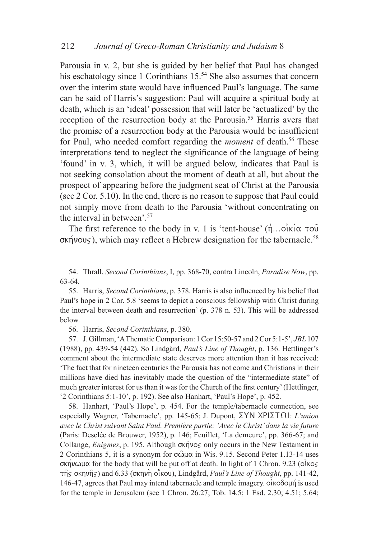Parousia in v. 2, but she is guided by her belief that Paul has changed his eschatology since 1 Corinthians 15.<sup>54</sup> She also assumes that concern over the interim state would have influenced Paul's language. The same can be said of Harris's suggestion: Paul will acquire a spiritual body at death, which is an 'ideal' possession that will later be 'actualized' by the reception of the resurrection body at the Parousia.<sup>55</sup> Harris avers that the promise of a resurrection body at the Parousia would be insufficient for Paul, who needed comfort regarding the *moment* of death.<sup>56</sup> These interpretations tend to neglect the significance of the language of being 'found' in v. 3, which, it will be argued below, indicates that Paul is not seeking consolation about the moment of death at all, but about the prospect of appearing before the judgment seat of Christ at the Parousia (see 2 Cor. 5.10). In the end, there is no reason to suppose that Paul could not simply move from death to the Parousia 'without concentrating on the interval in between'.57

The first reference to the body in v. 1 is 'tent-house'  $(\hat{n}...\hat{o})\times(\alpha\neq0)$  $\sigma$ Kn/vous), which may reflect a Hebrew designation for the tabernacle.<sup>58</sup>

54. Thrall, *Second Corinthians*, I, pp. 368-70, contra Lincoln, *Paradise Now*, pp. 63-64.

55. Harris, *Second Corinthians*, p. 378. Harris is also influenced by his belief that Paul's hope in 2 Cor. 5.8 'seems to depict a conscious fellowship with Christ during the interval between death and resurrection' (p. 378 n. 53). This will be addressed below.

56. Harris, *Second Corinthians*, p. 380.

57. J. Gillman, 'A Thematic Comparison: 1 Cor 15:50-57 and 2 Cor 5:1-5', *JBL*107 (1988), pp. 439-54 (442). So Lindgård, *Paul's Line of Thought*, p. 136. Hettlinger's comment about the intermediate state deserves more attention than it has received: 'The fact that for nineteen centuries the Parousia has not come and Christians in their millions have died has inevitably made the question of the "intermediate state" of much greater interest for us than it was for the Church of the first century' (Hettlinger, '2 Corinthians 5:1-10', p. 192). See also Hanhart, 'Paul's Hope', p. 452.

58. Hanhart, 'Paul's Hope', p. 454. For the temple/tabernacle connection, see especially Wagner, 'Tabernacle', pp. 145-65; J. Dupont,  $\Sigma YN XPI\Sigma T\Omega I:$  *L'union avec le Christ suivant Saint Paul. Première partie: 'Avec le Christ' dans la vie future* (Paris: Desclée de Brouwer, 1952), p. 146; Feuillet, 'La demeure', pp. 366-67; and Collange, *Enigmes*, p. 195. Although  $\sigma \times \hat{\eta} \times \sigma$  only occurs in the New Testament in 2 Corinthians 5, it is a synonym for  $\sigma \hat{\omega} \mu \alpha$  in Wis. 9.15. Second Peter 1.13-14 uses σκήνωμα for the body that will be put off at death. In light of 1 Chron. 9.23 (οίκος  $\tau$  $\eta$  s  $\sigma$  $\kappa$  $\eta$  $\upsilon$  $\eta$  s) and 6.33 ( $\sigma$  $\kappa$  $\eta$  $\upsilon$  $\eta$ ), Lindgård, *Paul's Line of Thought*, pp. 141-42, 146-47, agrees that Paul may intend tabernacle and temple imagery.  $\dot{o}$ <sub>i</sub> $\dot{o}$ <sub>i</sub> $\dot{o}$ <sub>p</sub> is used for the temple in Jerusalem (see 1 Chron. 26.27; Tob. 14.5; 1 Esd. 2.30; 4.51; 5.64;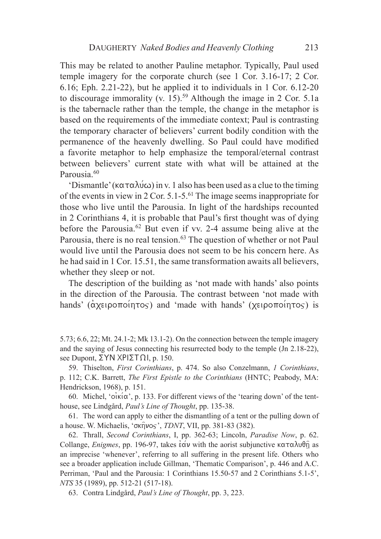This may be related to another Pauline metaphor. Typically, Paul used temple imagery for the corporate church (see 1 Cor. 3.16-17; 2 Cor. 6.16; Eph. 2.21-22), but he applied it to individuals in 1 Cor. 6.12-20 to discourage immorality (v. 15).<sup>59</sup> Although the image in 2 Cor. 5.1a is the tabernacle rather than the temple, the change in the metaphor is based on the requirements of the immediate context; Paul is contrasting the temporary character of believers' current bodily condition with the permanence of the heavenly dwelling. So Paul could have modified a favorite metaphor to help emphasize the temporal/eternal contrast between believers' current state with what will be attained at the Parousia.<sup>60</sup>

'Dismantle' ( $\kappa \alpha \tau \alpha \lambda \psi \omega$ ) in v. 1 also has been used as a clue to the timing of the events in view in 2 Cor. 5.1-5.61 The image seems inappropriate for those who live until the Parousia. In light of the hardships recounted in 2 Corinthians 4, it is probable that Paul's first thought was of dying before the Parousia.62 But even if vv. 2-4 assume being alive at the Parousia, there is no real tension.<sup>63</sup> The question of whether or not Paul would live until the Parousia does not seem to be his concern here. As he had said in 1 Cor. 15.51, the same transformation awaits all believers, whether they sleep or not.

The description of the building as 'not made with hands' also points in the direction of the Parousia. The contrast between 'not made with hands' ( $\alpha$ xeipo $\pi$ oin $\pi$ os) and 'made with hands' (xeipo $\pi$ oin $\pi$ os) is

5.73; 6.6, 22; Mt. 24.1-2; Mk 13.1-2). On the connection between the temple imagery and the saying of Jesus connecting his resurrected body to the temple (Jn 2.18-22), see Dupont,  $\Sigma YN XPI\Sigma T\Omega I$ , p. 150.

59. Thiselton, *First Corinthians*, p. 474. So also Conzelmann, *1 Corinthians*, p. 112; C.K. Barrett, *The First Epistle to the Corinthians* (HNTC; Peabody, MA: Hendrickson, 1968), p. 151.

60. Michel, ' $o'$ i $\kappa'$ i $\alpha'$ , p. 133. For different views of the 'tearing down' of the tenthouse, see Lindgård, *Paul's Line of Thought*, pp. 135-38.

61. The word can apply to either the dismantling of a tent or the pulling down of a house. W. Michaelis, ' $\sigma \kappa \hat{\eta} \nu \sigma s$ ', *TDNT*, VII, pp. 381-83 (382).

62. Thrall, *Second Corinthians*, I, pp. 362-63; Lincoln, *Paradise Now*, p. 62. Collange, *Enigmes*, pp. 196-97, takes  $\epsilon \alpha v$  with the aorist subjunctive  $\kappa \alpha \tau \alpha \lambda \upsilon \theta \hat{\eta}$  as an imprecise 'whenever', referring to all suffering in the present life. Others who see a broader application include Gillman, 'Thematic Comparison', p. 446 and A.C. Perriman, 'Paul and the Parousia: 1 Corinthians 15.50-57 and 2 Corinthians 5.1-5', *NTS* 35 (1989), pp. 512-21 (517-18).

63. Contra Lindgård, *Paul's Line of Thought*, pp. 3, 223.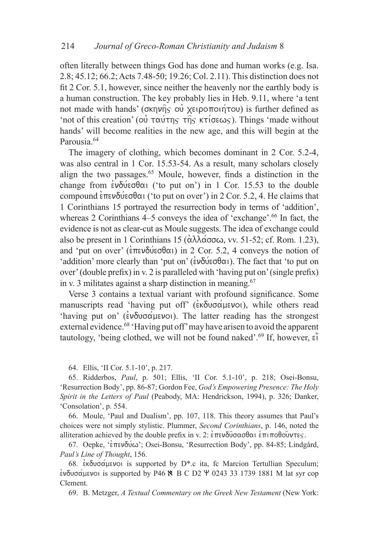often literally between things God has done and human works (e.g. Isa. 2.8; 45.12; 66.2; Acts 7.48-50; 19.26; Col. 2.11). This distinction does not fit 2 Cor. 5.1, however, since neither the heavenly nor the earthly body is a human construction. The key probably lies in Heb. 9.11, where 'a tent not made with hands' ( $\sigma$ kn $\nu$ n $\sigma$ s ou $\nu$  xeipo $\pi$ oun $\nu$  is further defined as 'not of this creation' (ou  $\tau \alpha v \tau \eta_S$   $\tau \hat{\eta}_S$  ktioses). Things 'made without hands' will become realities in the new age, and this will begin at the Parousia.<sup>64</sup>

The imagery of clothing, which becomes dominant in 2 Cor. 5.2-4, was also central in 1 Cor. 15.53-54. As a result, many scholars closely align the two passages.65 Moule, however, finds a distinction in the change from  $\epsilon \nu \delta \nu \epsilon \sigma \theta \alpha$  ('to put on') in 1 Cor. 15.53 to the double compound  $\epsilon \pi \epsilon v \delta \psi \epsilon \sigma \delta \alpha$  ('to put on over') in 2 Cor. 5.2, 4. He claims that 1 Corinthians 15 portrayed the resurrection body in terms of 'addition', whereas 2 Corinthians 4–5 conveys the idea of 'exchange'.<sup>66</sup> In fact, the evidence is not as clear-cut as Moule suggests. The idea of exchange could also be present in 1 Corinthians 15 ( $\alpha\lambda\lambda\alpha\sigma\alpha\omega$ , vv. 51-52; cf. Rom. 1.23), and 'put on over' ( $\epsilon \pi \epsilon \nu \delta \psi \epsilon \sigma \theta \alpha$ ) in 2 Cor. 5.2, 4 conveys the notion of 'addition' more clearly than 'put on' ( $\epsilon v \delta \acute{u} \epsilon \sigma \theta \alpha$ ). The fact that 'to put on over' (double prefix) in v. 2 is paralleled with 'having put on' (single prefix) in v. 3 militates against a sharp distinction in meaning.67

Verse 3 contains a textual variant with profound significance. Some manuscripts read 'having put off' ( $\epsilon \in \delta$ υσάμενοι), while others read 'having put on' ( $\epsilon v \delta v \sigma \alpha \mu \epsilon v o$ ). The latter reading has the strongest external evidence.<sup>68</sup> 'Having put off' may have arisen to avoid the apparent tautology, 'being clothed, we will not be found naked'.<sup>69</sup> If, however, ei<sup>1</sup>

64. Ellis, 'II Cor. 5.1-10', p. 217.

65. Ridderbos, *Paul*, p. 501; Ellis, 'II Cor. 5.1-10', p. 218; Osei-Bonsu, 'Resurrection Body', pp. 86-87; Gordon Fee, *God's Empowering Presence: The Holy Spirit in the Letters of Paul* (Peabody, MA: Hendrickson, 1994), p. 326; Danker, 'Consolation', p. 554.

66. Moule, 'Paul and Dualism', pp. 107, 118. This theory assumes that Paul's choices were not simply stylistic. Plummer, *Second Corinthians*, p. 146, noted the alliteration achieved by the double prefix in v. 2:  $\epsilon \pi \epsilon v \delta \hat{\theta} \sigma \alpha \sigma \theta \alpha \hat{\epsilon} \pi \hat{\theta} \sigma \hat{\theta} \hat{\theta} \nu \tau \epsilon \varsigma$ .

67. Oepke, ' $\epsilon$ πενδύ $\omega$ '; Osei-Bonsu, 'Resurrection Body', pp. 84-85; Lindgård, *Paul's Line of Thought*, 156.

68.  $\epsilon$ κδυσάμενοι is supported by D<sup>\*</sup>.c ita, fc Marcion Tertullian Speculum;  $\epsilon$ νδυσάμενοι is supported by P46  $\blacklozenge$  B C D2  $\Psi$  0243 33 1739 1881 M lat syr cop Clement.

69. B. Metzger, *A Textual Commentary on the Greek New Testament* (New York: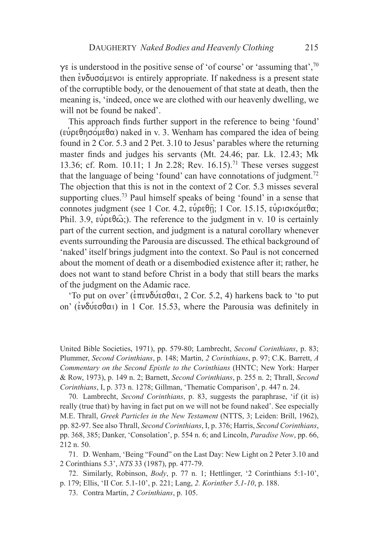$\gamma$  is understood in the positive sense of 'of course' or 'assuming that',  $\gamma$ <sup>0</sup> then  $\epsilon v \delta v \sigma \alpha \mu \epsilon v o$  is entirely appropriate. If nakedness is a present state of the corruptible body, or the denouement of that state at death, then the meaning is, 'indeed, once we are clothed with our heavenly dwelling, we will not be found be naked'.

This approach finds further support in the reference to being 'found' (εύρεθησόμεθα) naked in v. 3. Wenham has compared the idea of being found in 2 Cor. 5.3 and 2 Pet. 3.10 to Jesus' parables where the returning master finds and judges his servants (Mt. 24.46; par. Lk. 12.43; Mk 13.36; cf. Rom. 10.11; 1 Jn 2.28; Rev. 16.15).<sup>71</sup> These verses suggest that the language of being 'found' can have connotations of judgment.<sup>72</sup> The objection that this is not in the context of 2 Cor. 5.3 misses several supporting clues.<sup>73</sup> Paul himself speaks of being 'found' in a sense that connotes judgment (see 1 Cor. 4.2,  $\varepsilon\psi\rho\varepsilon\theta\hat{n}$ ; 1 Cor. 15.15,  $\varepsilon\psi\rho\phi\alpha\hat{\rho}\omega\epsilon\theta\alpha$ ; Phil. 3.9,  $\varepsilon\psi\rho\varepsilon\theta\hat{\omega}$ ;). The reference to the judgment in v. 10 is certainly part of the current section, and judgment is a natural corollary whenever events surrounding the Parousia are discussed. The ethical background of 'naked' itself brings judgment into the context. So Paul is not concerned about the moment of death or a disembodied existence after it; rather, he does not want to stand before Christ in a body that still bears the marks of the judgment on the Adamic race.

'To put on over' ( $\epsilon \pi \epsilon \nu \delta \nu \epsilon \sigma \theta \alpha$ , 2 Cor. 5.2, 4) harkens back to 'to put on' ( $\epsilon v \delta \acute{u} \epsilon \sigma \theta \alpha$ ) in 1 Cor. 15.53, where the Parousia was definitely in

United Bible Societies, 1971), pp. 579-80; Lambrecht, *Second Corinthians*, p. 83; Plummer, *Second Corinthians*, p. 148; Martin, *2 Corinthians*, p. 97; C.K. Barrett, *A Commentary on the Second Epistle to the Corinthians* (HNTC; New York: Harper & Row, 1973), p. 149 n. 2; Barnett, *Second Corinthians*, p. 255 n. 2; Thrall, *Second Corinthians*, I, p. 373 n. 1278; Gillman, 'Thematic Comparison', p. 447 n. 24.

70. Lambrecht, *Second Corinthians*, p. 83, suggests the paraphrase, 'if (it is) really (true that) by having in fact put on we will not be found naked'. See especially M.E. Thrall, *Greek Particles in the New Testament* (NTTS, 3; Leiden: Brill, 1962), pp. 82-97. See also Thrall, *Second Corinthians*, I, p. 376; Harris, *Second Corinthians*, pp. 368, 385; Danker, 'Consolation', p. 554 n. 6; and Lincoln, *Paradise Now*, pp. 66, 212 n. 50.

71. D. Wenham, 'Being "Found" on the Last Day: New Light on 2 Peter 3.10 and 2 Corinthians 5.3', *NTS* 33 (1987), pp. 477-79.

72. Similarly, Robinson, *Body*, p. 77 n. 1; Hettlinger, '2 Corinthians 5:1-10', p. 179; Ellis, 'II Cor. 5.1-10', p. 221; Lang, *2. Korinther 5,1-10*, p. 188.

73. Contra Martin, *2 Corinthians*, p. 105.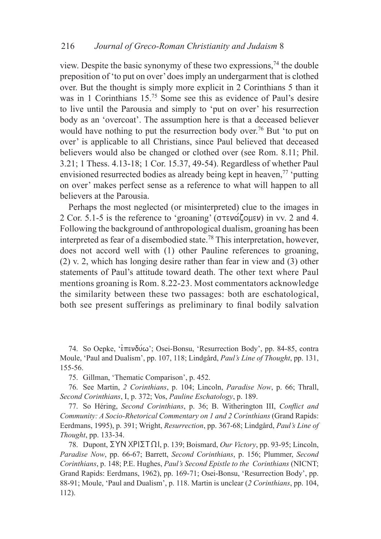view. Despite the basic synonymy of these two expressions,  $74$  the double preposition of 'to put on over' does imply an undergarment that is clothed over. But the thought is simply more explicit in 2 Corinthians 5 than it was in 1 Corinthians 15.<sup>75</sup> Some see this as evidence of Paul's desire to live until the Parousia and simply to 'put on over' his resurrection body as an 'overcoat'. The assumption here is that a deceased believer would have nothing to put the resurrection body over.<sup>76</sup> But 'to put on over' is applicable to all Christians, since Paul believed that deceased believers would also be changed or clothed over (see Rom. 8.11; Phil. 3.21; 1 Thess. 4.13-18; 1 Cor. 15.37, 49-54). Regardless of whether Paul envisioned resurrected bodies as already being kept in heaven, $^{77}$  'putting on over' makes perfect sense as a reference to what will happen to all believers at the Parousia.

Perhaps the most neglected (or misinterpreted) clue to the images in 2 Cor. 5.1-5 is the reference to 'groaning' ( $\sigma \tau \epsilon \nu \alpha \zeta \rho \nu \epsilon \nu$ ) in vv. 2 and 4. Following the background of anthropological dualism, groaning has been interpreted as fear of a disembodied state.78 This interpretation, however, does not accord well with (1) other Pauline references to groaning, (2) v. 2, which has longing desire rather than fear in view and (3) other statements of Paul's attitude toward death. The other text where Paul mentions groaning is Rom. 8.22-23. Most commentators acknowledge the similarity between these two passages: both are eschatological, both see present sufferings as preliminary to final bodily salvation

74. So Oepke, 'επενδύω'; Osei-Bonsu, 'Resurrection Body', pp. 84-85, contra Moule, 'Paul and Dualism', pp. 107, 118; Lindgård, *Paul's Line of Thought*, pp. 131, 155-56.

75. Gillman, 'Thematic Comparison', p. 452.

76. See Martin, *2 Corinthians*, p. 104; Lincoln, *Paradise Now*, p. 66; Thrall, *Second Corinthians*, I, p. 372; Vos, *Pauline Eschatology*, p. 189.

77. So Héring, *Second Corinthians*, p. 36; B. Witherington III, *Conflict and Community: A Socio-Rhetorical Commentary on 1 and 2 Corinthians* (Grand Rapids: Eerdmans, 1995), p. 391; Wright, *Resurrection*, pp. 367-68; Lindgård, *Paul's Line of Thought*, pp. 133-34.

78. Dupont,  $\Sigma YN XPI\Sigma T \Omega I$ , p. 139; Boismard, *Our Victory*, pp. 93-95; Lincoln, *Paradise Now*, pp. 66-67; Barrett, *Second Corinthians*, p. 156; Plummer, *Second Corinthians*, p. 148; P.E. Hughes, *Paul's Second Epistle to the Corinthians* (NICNT; Grand Rapids: Eerdmans, 1962), pp. 169-71; Osei-Bonsu, 'Resurrection Body', pp. 88-91; Moule, 'Paul and Dualism', p. 118. Martin is unclear (*2 Corinthians*, pp. 104, 112).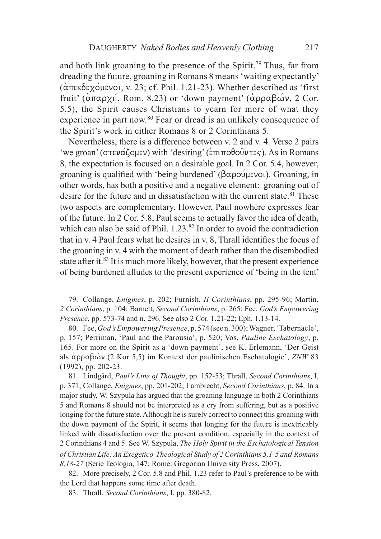and both link groaning to the presence of the Spirit.<sup>79</sup> Thus, far from dreading the future, groaning in Romans 8 means 'waiting expectantly'  $(\alpha \pi \epsilon \kappa \delta \epsilon \chi \acute{\Omega})$ uevoi, v. 23; cf. Phil. 1.21-23). Whether described as 'first fruit'  $(\alpha \pi \alpha \rho \chi \eta)$ , Rom. 8.23) or 'down payment'  $(\alpha \rho \rho \alpha \beta \omega \nu)$ , 2 Cor. 5.5), the Spirit causes Christians to yearn for more of what they experience in part now.<sup>80</sup> Fear or dread is an unlikely consequence of the Spirit's work in either Romans 8 or 2 Corinthians 5.

Nevertheless, there is a difference between v. 2 and v. 4. Verse 2 pairs 'we groan' ( $\sigma \tau \in \alpha(\zeta)$  with 'desiring' ( $\epsilon \pi \tau \in \beta$ ). As in Romans 8, the expectation is focused on a desirable goal. In 2 Cor. 5.4, however, groaning is qualified with 'being burdened' ( $\beta \alpha \rho o \nu(\mu \varepsilon)$ ). Groaning, in other words, has both a positive and a negative element: groaning out of desire for the future and in dissatisfaction with the current state. $81$  These two aspects are complementary. However, Paul nowhere expresses fear of the future. In 2 Cor. 5.8, Paul seems to actually favor the idea of death, which can also be said of Phil. 1.23.<sup>82</sup> In order to avoid the contradiction that in v. 4 Paul fears what he desires in v. 8, Thrall identifies the focus of the groaning in v. 4 with the moment of death rather than the disembodied state after it.<sup>83</sup> It is much more likely, however, that the present experience of being burdened alludes to the present experience of 'being in the tent'

79. Collange, *Enigmes*, p. 202; Furnish, *II Corinthians*, pp. 295-96; Martin, *2 Corinthians*, p. 104; Barnett, *Second Corinthians*, p. 265; Fee, *God's Empowering Presence*, pp. 573-74 and n. 296. See also 2 Cor. 1.21-22; Eph. 1.13-14.

80. Fee, *God's Empowering Presence*, p. 574 (see n. 300); Wagner, 'Tabernacle', p. 157; Perriman, 'Paul and the Parousia', p. 520; Vos, *Pauline Eschatology*, p. 165. For more on the Spirit as a 'down payment', see K. Erlemann, 'Der Geist als  $\alpha$ ρραβών (2 Kor 5,5) im Kontext der paulinischen Eschatologie', *ZNW* 83 (1992), pp. 202-23.

81. Lindgård, *Paul's Line of Thought*, pp. 152-53; Thrall, *Second Corinthians*, I, p. 371; Collange, *Enigmes*, pp. 201-202; Lambrecht, *Second Corinthians*, p. 84. In a major study, W. Szypula has argued that the groaning language in both 2 Corinthians 5 and Romans 8 should not be interpreted as a cry from suffering, but as a positive longing for the future state. Although he is surely correct to connect this groaning with the down payment of the Spirit, it seems that longing for the future is inextricably linked with dissatisfaction over the present condition, especially in the context of 2 Corinthians 4 and 5. See W. Szypula, *The Holy Spirit in the Eschatological Tension of Christian Life: An Exegetico-Theological Study of 2 Corinthians 5,1-5 and Romans 8,18-27* (Serie Teologia, 147; Rome: Gregorian University Press, 2007).

82. More precisely, 2 Cor. 5.8 and Phil. 1.23 refer to Paul's preference to be with the Lord that happens some time after death.

83. Thrall, *Second Corinthians*, I, pp. 380-82.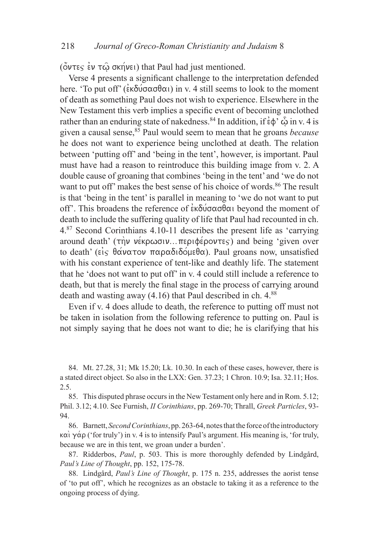( $\ddot{\text{o}}$ ντες εν τ $\hat{\text{o}}$  σκήνει) that Paul had just mentioned.

Verse 4 presents a significant challenge to the interpretation defended here. 'To put off' ( $\epsilon \kappa \delta \omega \sigma \alpha \sigma \theta \alpha$ ) in v. 4 still seems to look to the moment of death as something Paul does not wish to experience. Elsewhere in the New Testament this verb implies a specific event of becoming unclothed rather than an enduring state of nakedness.<sup>84</sup> In addition, if  $\epsilon \phi$   $\hat{\phi}$  in v. 4 is given a causal sense,<sup>85</sup> Paul would seem to mean that he groans *because* he does not want to experience being unclothed at death. The relation between 'putting off' and 'being in the tent', however, is important. Paul must have had a reason to reintroduce this building image from v. 2. A double cause of groaning that combines 'being in the tent' and 'we do not want to put off' makes the best sense of his choice of words.<sup>86</sup> The result is that 'being in the tent' is parallel in meaning to 'we do not want to put off'. This broadens the reference of  $\epsilon \kappa \delta \omega \sigma \alpha \sigma \theta \alpha$  beyond the moment of death to include the suffering quality of life that Paul had recounted in ch. 4.87 Second Corinthians 4.10-11 describes the present life as 'carrying around death'  $(\tau\)$  v $\epsilon$ kpωσιν...περιφέροντες) and being 'given over to death' ( $\epsilon$ <sup>i</sup> $\varsigma$   $\theta \alpha \nu \alpha \tau \circ \nu \pi \alpha \rho \alpha \delta \iota \delta \phi \mu \epsilon \theta \alpha$ ). Paul groans now, unsatisfied with his constant experience of tent-like and deathly life. The statement that he 'does not want to put off' in v. 4 could still include a reference to death, but that is merely the final stage in the process of carrying around death and wasting away  $(4.16)$  that Paul described in ch.  $4.88$ 

Even if v. 4 does allude to death, the reference to putting off must not be taken in isolation from the following reference to putting on. Paul is not simply saying that he does not want to die; he is clarifying that his

84. Mt. 27.28, 31; Mk 15.20; Lk. 10.30. In each of these cases, however, there is a stated direct object. So also in the LXX: Gen. 37.23; 1 Chron. 10.9; Isa. 32.11; Hos. 2.5.

85. This disputed phrase occurs in the New Testament only here and in Rom. 5.12; Phil. 3.12; 4.10. See Furnish, *II Corinthians*, pp. 269-70; Thrall, *Greek Particles*, 93- 94.

86. Barnett, *Second Corinthians*, pp. 263-64, notes that the force of the introductory  $\kappa\alpha$  ('for truly') in v. 4 is to intensify Paul's argument. His meaning is, 'for truly, because we are in this tent, we groan under a burden'.

87. Ridderbos, *Paul*, p. 503. This is more thoroughly defended by Lindgård, *Paul's Line of Thought*, pp. 152, 175-78.

88. Lindgård, *Paul's Line of Thought*, p. 175 n. 235, addresses the aorist tense of 'to put off', which he recognizes as an obstacle to taking it as a reference to the ongoing process of dying.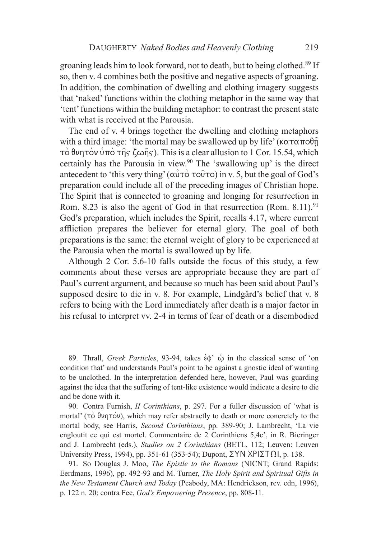groaning leads him to look forward, not to death, but to being clothed.89 If so, then v. 4 combines both the positive and negative aspects of groaning. In addition, the combination of dwelling and clothing imagery suggests that 'naked' functions within the clothing metaphor in the same way that 'tent' functions within the building metaphor: to contrast the present state with what is received at the Parousia.

The end of v. 4 brings together the dwelling and clothing metaphors with a third image: 'the mortal may be swallowed up by life' ( $\kappa \alpha \tau \alpha \pi \partial \hat{\theta}$ ) τὸ θνητὸν ὑπὸ τη̂ς ζωη̂ς). This is a clear allusion to 1 Cor. 15.54, which certainly has the Parousia in view.<sup>90</sup> The 'swallowing up' is the direct antecedent to 'this very thing'  $(\alpha \vec{v} \tau \vec{o} \tau \vec{o})$  in v. 5, but the goal of God's preparation could include all of the preceding images of Christian hope. The Spirit that is connected to groaning and longing for resurrection in Rom. 8.23 is also the agent of God in that resurrection (Rom. 8.11).<sup>91</sup> God's preparation, which includes the Spirit, recalls 4.17, where current affliction prepares the believer for eternal glory. The goal of both preparations is the same: the eternal weight of glory to be experienced at the Parousia when the mortal is swallowed up by life.

Although 2 Cor. 5.6-10 falls outside the focus of this study, a few comments about these verses are appropriate because they are part of Paul's current argument, and because so much has been said about Paul's supposed desire to die in v. 8. For example, Lindgård's belief that v. 8 refers to being with the Lord immediately after death is a major factor in his refusal to interpret vv. 2-4 in terms of fear of death or a disembodied

89. Thrall, *Greek Particles*, 93-94, takes  $\epsilon \phi$   $\hat{\varphi}$  in the classical sense of 'on condition that' and understands Paul's point to be against a gnostic ideal of wanting to be unclothed. In the interpretation defended here, however, Paul was guarding against the idea that the suffering of tent-like existence would indicate a desire to die and be done with it.

90. Contra Furnish, *II Corinthians*, p. 297. For a fuller discussion of 'what is mortal' ( $\tau$ )  $\sigma$   $\theta$ νη $\tau$  $\circ$ ν), which may refer abstractly to death or more concretely to the mortal body, see Harris, *Second Corinthians*, pp. 389-90; J. Lambrecht, 'La vie engloutit ce qui est mortel. Commentaire de 2 Corinthiens 5,4c', in R. Bieringer and J. Lambrecht (eds.), *Studies on 2 Corinthians* (BETL, 112; Leuven: Leuven University Press, 1994), pp. 351-61 (353-54); Dupont,  $\Sigma YN XPI\Sigma T \Omega I$ , p. 138.

91. So Douglas J. Moo, *The Epistle to the Romans* (NICNT; Grand Rapids: Eerdmans, 1996), pp. 492-93 and M. Turner, *The Holy Spirit and Spiritual Gifts in the New Testament Church and Today* (Peabody, MA: Hendrickson, rev. edn, 1996), p. 122 n. 20; contra Fee, *God's Empowering Presence*, pp. 808-11.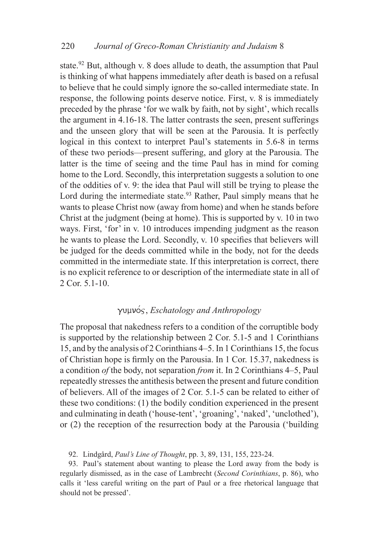state.<sup>92</sup> But, although v. 8 does allude to death, the assumption that Paul is thinking of what happens immediately after death is based on a refusal to believe that he could simply ignore the so-called intermediate state. In response, the following points deserve notice. First, v. 8 is immediately preceded by the phrase 'for we walk by faith, not by sight', which recalls the argument in 4.16-18. The latter contrasts the seen, present sufferings and the unseen glory that will be seen at the Parousia. It is perfectly logical in this context to interpret Paul's statements in 5.6-8 in terms of these two periods—present suffering, and glory at the Parousia. The latter is the time of seeing and the time Paul has in mind for coming home to the Lord. Secondly, this interpretation suggests a solution to one of the oddities of v. 9: the idea that Paul will still be trying to please the Lord during the intermediate state.<sup>93</sup> Rather, Paul simply means that he wants to please Christ now (away from home) and when he stands before Christ at the judgment (being at home). This is supported by v. 10 in two ways. First, 'for' in v. 10 introduces impending judgment as the reason he wants to please the Lord. Secondly, v. 10 specifies that believers will be judged for the deeds committed while in the body, not for the deeds committed in the intermediate state. If this interpretation is correct, there is no explicit reference to or description of the intermediate state in all of 2 Cor. 5.1-10.

# gumno/j, *Eschatology and Anthropology*

The proposal that nakedness refers to a condition of the corruptible body is supported by the relationship between 2 Cor. 5.1-5 and 1 Corinthians 15, and by the analysis of 2 Corinthians 4–5. In 1 Corinthians 15, the focus of Christian hope is firmly on the Parousia. In 1 Cor. 15.37, nakedness is a condition *of* the body, not separation *from* it. In 2 Corinthians 4–5, Paul repeatedly stresses the antithesis between the present and future condition of believers. All of the images of 2 Cor. 5.1-5 can be related to either of these two conditions: (1) the bodily condition experienced in the present and culminating in death ('house-tent', 'groaning', 'naked', 'unclothed'), or (2) the reception of the resurrection body at the Parousia ('building

92. Lindgård, *Paul's Line of Thought*, pp. 3, 89, 131, 155, 223-24.

93. Paul's statement about wanting to please the Lord away from the body is regularly dismissed, as in the case of Lambrecht (*Second Corinthians*, p. 86), who calls it 'less careful writing on the part of Paul or a free rhetorical language that should not be pressed'.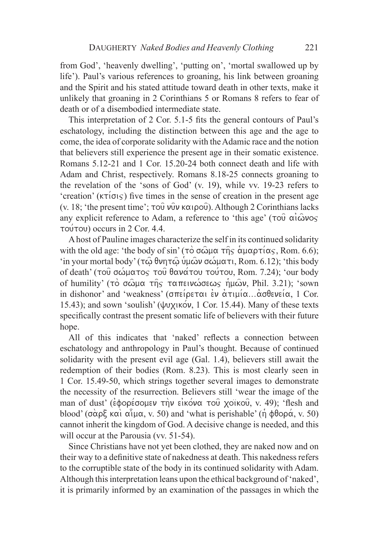from God', 'heavenly dwelling', 'putting on', 'mortal swallowed up by life'). Paul's various references to groaning, his link between groaning and the Spirit and his stated attitude toward death in other texts, make it unlikely that groaning in 2 Corinthians 5 or Romans 8 refers to fear of death or of a disembodied intermediate state.

This interpretation of 2 Cor. 5.1-5 fits the general contours of Paul's eschatology, including the distinction between this age and the age to come, the idea of corporate solidarity with the Adamic race and the notion that believers still experience the present age in their somatic existence. Romans 5.12-21 and 1 Cor. 15.20-24 both connect death and life with Adam and Christ, respectively. Romans 8.18-25 connects groaning to the revelation of the 'sons of God' (v. 19), while vv. 19-23 refers to 'creation' ( $k\tau$  $\sigma$  $\varsigma$ ) five times in the sense of creation in the present age (v. 18; 'the present time';  $\tau o\hat{v}$   $\nu\hat{v}v \times \alpha \iota \rho o\hat{v}$ ). Although 2 Corinthians lacks any explicit reference to Adam, a reference to 'this age' ( $\tau$ ou  $\alpha i \hat{\omega}$ vos  $\tau o$  ( $\sigma$ ) occurs in 2 Cor. 4.4.

A host of Pauline images characterize the self in its continued solidarity with the old age: 'the body of sin' ( $\tau\circ\sigma\omega\mu\alpha$   $\tau\hat{\eta}s$   $\alpha\mu\alpha\rho\tau(\alpha\varsigma,$  Rom. 6.6); 'in your mortal body' (τ $\hat{\omega}$  θνητ $\hat{\omega}$  υμ $\hat{\omega}$ ν σώματι, Rom. 6.12); 'this body of death' (του σώματος του θανάτου τούτου, Rom. 7.24); 'our body of humility' (τὸ σῶμα της ταπεινώσεως ημών, Phil. 3.21); 'sown in dishonor' and 'weakness' ( $\sigma \pi \epsilon$   $\rho \epsilon \tau \alpha$ )  $\epsilon \nu \alpha$   $\alpha \tau$  $\mu$  $\rho \alpha$ ... $\alpha \sigma \theta \epsilon \nu \epsilon$  $\rho \alpha$ , 1 Cor. 15.43); and sown 'soulish' ( $\psi$ v $\chi$  $\kappa\acute{o}v$ , 1 Cor. 15.44). Many of these texts specifically contrast the present somatic life of believers with their future hope.

All of this indicates that 'naked' reflects a connection between eschatology and anthropology in Paul's thought. Because of continued solidarity with the present evil age (Gal. 1.4), believers still await the redemption of their bodies (Rom. 8.23). This is most clearly seen in 1 Cor. 15.49-50, which strings together several images to demonstrate the necessity of the resurrection. Believers still 'wear the image of the man of dust' ( $\epsilon$ φορέσομεν την εικόνα του χοϊκου, v. 49); 'flesh and blood' ( $\sigma \alpha \beta$  kai  $\alpha \hat{i} \mu \alpha$ , v. 50) and 'what is perishable' ( $\eta \phi \theta \circ \alpha$ , v. 50) cannot inherit the kingdom of God. A decisive change is needed, and this will occur at the Parousia (vv. 51-54).

Since Christians have not yet been clothed, they are naked now and on their way to a definitive state of nakedness at death. This nakedness refers to the corruptible state of the body in its continued solidarity with Adam. Although this interpretation leans upon the ethical background of 'naked', it is primarily informed by an examination of the passages in which the